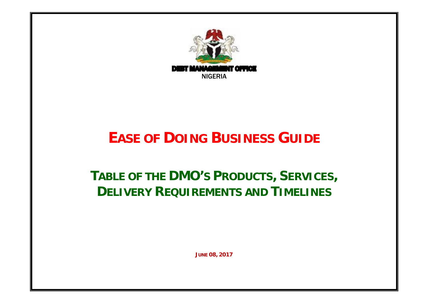

## **EASE OF DOING BUSINESS GUIDE**

## **TABLE OF THE DMO'S PRODUCTS, SERVICES, DELIVERY REQUIREMENTS AND TIMELINES**

**JUNE 08, 2017**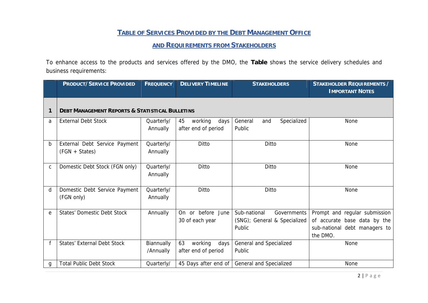## **TABLE OF SERVICES PROVIDED BY THE DEBT MANAGEMENT OFFICE**

## **AND REQUIREMENTS FROM STAKEHOLDERS**

To enhance access to the products and services offered by the DMO, the **Table** shows the service delivery schedules and business requirements:

|              | PRODUCT/SERVICE PROVIDED                                   | <b>FREQUENCY</b>        | <b>DELIVERY TIMELINE</b>                     | <b>STAKEHOLDERS</b>                                                   | STAKEHOLDER REQUIREMENTS /<br><b>IMPORTANT NOTES</b>                                                       |
|--------------|------------------------------------------------------------|-------------------------|----------------------------------------------|-----------------------------------------------------------------------|------------------------------------------------------------------------------------------------------------|
|              | <b>DEBT MANAGEMENT REPORTS &amp; STATISTICAL BULLETINS</b> |                         |                                              |                                                                       |                                                                                                            |
| a            | <b>External Debt Stock</b>                                 | Quarterly/<br>Annually  | working<br>45<br>days<br>after end of period | Specialized<br>General<br>and<br>Public                               | None                                                                                                       |
| b            | External Debt Service Payment<br>(FGN + States)            | Quarterly/<br>Annually  | Ditto                                        | Ditto                                                                 | None                                                                                                       |
| $\mathsf{C}$ | Domestic Debt Stock (FGN only)                             | Quarterly/<br>Annually  | Ditto                                        | Ditto                                                                 | None                                                                                                       |
| d            | Domestic Debt Service Payment<br>(FGN only)                | Quarterly/<br>Annually  | Ditto                                        | Ditto                                                                 | None                                                                                                       |
| e            | <b>States' Domestic Debt Stock</b>                         | Annually                | On or before June<br>30 of each year         | Sub-national<br>Governments<br>(SNG); General & Specialized<br>Public | Prompt and regular submission<br>of accurate base data by the<br>sub-national debt managers to<br>the DMO. |
|              | States' External Debt Stock                                | Biannually<br>/Annually | 63<br>working<br>days<br>after end of period | General and Specialized<br>Public                                     | None                                                                                                       |
| g            | <b>Total Public Debt Stock</b>                             | Quarterly/              | 45 Days after end of                         | General and Specialized                                               | None                                                                                                       |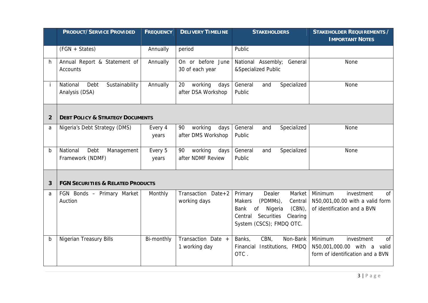|                | PRODUCT/SERVICE PROVIDED                             | <b>FREQUENCY</b> | <b>DELIVERY TIMELINE</b>                    | <b>STAKEHOLDERS</b>                                                                                                                                                 | STAKEHOLDER REQUIREMENTS /                                                                                |
|----------------|------------------------------------------------------|------------------|---------------------------------------------|---------------------------------------------------------------------------------------------------------------------------------------------------------------------|-----------------------------------------------------------------------------------------------------------|
|                |                                                      |                  |                                             |                                                                                                                                                                     | <b>IMPORTANT NOTES</b>                                                                                    |
|                | (FGN + States)                                       | Annually         | period                                      | Public                                                                                                                                                              |                                                                                                           |
| h.             | Annual Report & Statement of<br>Accounts             | Annually         | On or before June<br>30 of each year        | National Assembly; General<br>&Specialized Public                                                                                                                   | None                                                                                                      |
| İ              | National<br>Debt<br>Sustainability<br>Analysis (DSA) | Annually         | working<br>20<br>days<br>after DSA Workshop | General<br>Specialized<br>and<br>Public                                                                                                                             | None                                                                                                      |
| $\overline{2}$ | <b>DEBT POLICY &amp; STRATEGY DOCUMENTS</b>          |                  |                                             |                                                                                                                                                                     |                                                                                                           |
| a              | Nigeria's Debt Strategy (DMS)                        | Every 4<br>years | 90<br>working<br>days<br>after DMS Workshop | General<br>Specialized<br>and<br>Public                                                                                                                             | None                                                                                                      |
| $\mathsf b$    | National<br>Debt<br>Management<br>Framework (NDMF)   | Every 5<br>years | working<br>days<br>90<br>after NDMF Review  | General<br>Specialized<br>and<br>Public                                                                                                                             | None                                                                                                      |
| 3              | <b>FGN SECURITIES &amp; RELATED PRODUCTS</b>         |                  |                                             |                                                                                                                                                                     |                                                                                                           |
| a              | FGN Bonds - Primary Market<br>Auction                | Monthly          | Transaction Date+2<br>working days          | Dealer<br>Market<br>Primary<br>(PDMMs),<br>Makers<br>Central<br>$(CBN)$ ,<br>of<br>Bank<br>Nigeria<br>Securities<br>Clearing<br>Central<br>System (CSCS); FMDQ OTC. | Minimum<br>investment<br><b>of</b><br>N50,001,00.00 with a valid form<br>of identification and a BVN      |
| b              | <b>Nigerian Treasury Bills</b>                       | Bi-monthly       | Transaction Date +<br>1 working day         | CBN,<br>Non-Bank<br>Banks,<br>Financial Institutions, FMDQ<br>OTC.                                                                                                  | Minimum<br>investment<br><sub>of</sub><br>N50,001,000.00 with a valid<br>form of identification and a BVN |
|                |                                                      |                  |                                             |                                                                                                                                                                     | 3 Page                                                                                                    |